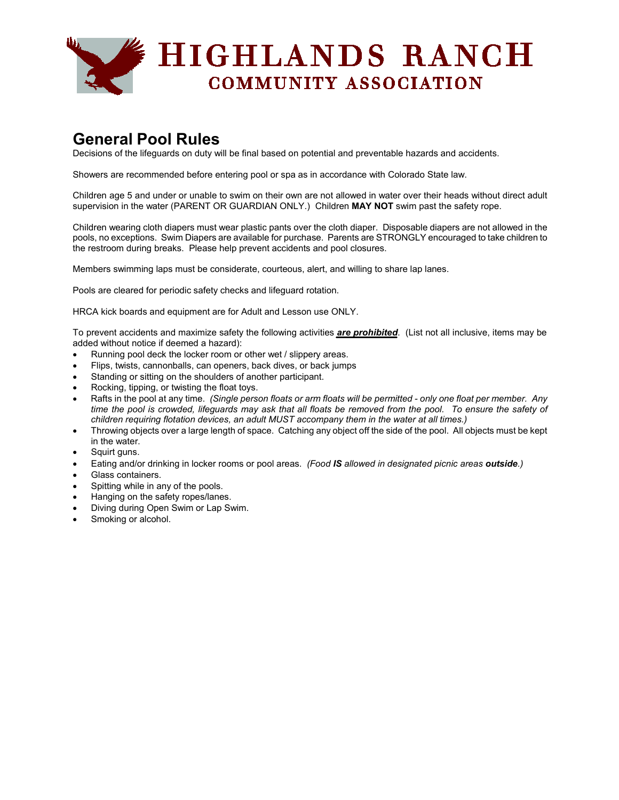

# **General Pool Rules**

Decisions of the lifeguards on duty will be final based on potential and preventable hazards and accidents.

Showers are recommended before entering pool or spa as in accordance with Colorado State law.

Children age 5 and under or unable to swim on their own are not allowed in water over their heads without direct adult supervision in the water (PARENT OR GUARDIAN ONLY.) Children **MAY NOT** swim past the safety rope.

Children wearing cloth diapers must wear plastic pants over the cloth diaper. Disposable diapers are not allowed in the pools, no exceptions. Swim Diapers are available for purchase. Parents are STRONGLY encouraged to take children to the restroom during breaks. Please help prevent accidents and pool closures.

Members swimming laps must be considerate, courteous, alert, and willing to share lap lanes.

Pools are cleared for periodic safety checks and lifeguard rotation.

HRCA kick boards and equipment are for Adult and Lesson use ONLY.

To prevent accidents and maximize safety the following activities *are prohibited*. (List not all inclusive, items may be added without notice if deemed a hazard):

- Running pool deck the locker room or other wet / slippery areas.
- Flips, twists, cannonballs, can openers, back dives, or back jumps
- Standing or sitting on the shoulders of another participant.
- Rocking, tipping, or twisting the float toys.
- Rafts in the pool at any time. (Single person floats or arm floats will be permitted only one float per member. Any time the pool is crowded, lifeguards may ask that all floats be removed from the pool. To ensure the safety of *children requiring flotation devices, an adult MUST accompany them in the water at all times.)*
- Throwing objects over a large length of space. Catching any object off the side of the pool. All objects must be kept in the water.
- Squirt guns.
- Eating and/or drinking in locker rooms or pool areas. *(Food IS allowed in designated picnic areas outside.)*
- Glass containers.
- Spitting while in any of the pools.
- Hanging on the safety ropes/lanes.
- Diving during Open Swim or Lap Swim.
- Smoking or alcohol.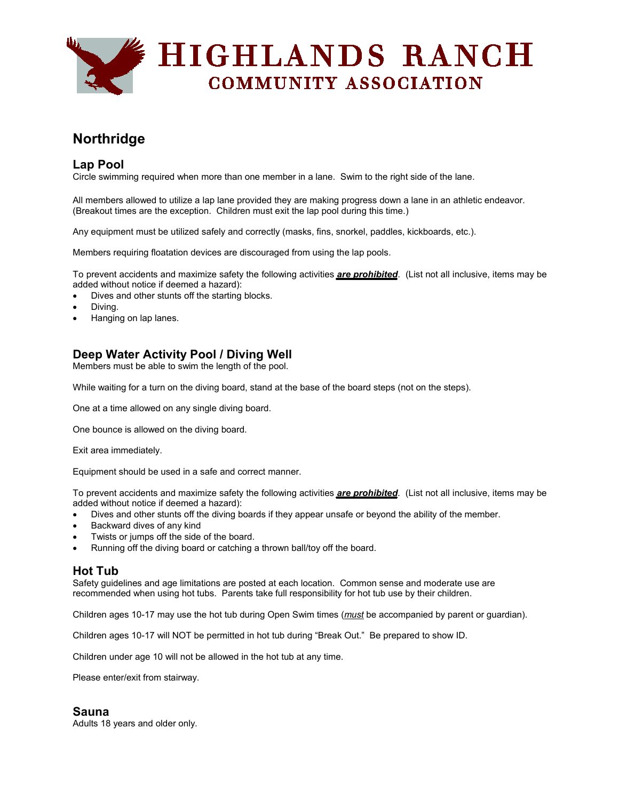

# **Northridge**

## **Lap Pool**

Circle swimming required when more than one member in a lane. Swim to the right side of the lane.

All members allowed to utilize a lap lane provided they are making progress down a lane in an athletic endeavor. (Breakout times are the exception. Children must exit the lap pool during this time.)

Any equipment must be utilized safely and correctly (masks, fins, snorkel, paddles, kickboards, etc.).

Members requiring floatation devices are discouraged from using the lap pools.

To prevent accidents and maximize safety the following activities *are prohibited*. (List not all inclusive, items may be added without notice if deemed a hazard):

- Dives and other stunts off the starting blocks.
- Diving.
- Hanging on lap lanes.

# **Deep Water Activity Pool / Diving Well**

Members must be able to swim the length of the pool.

While waiting for a turn on the diving board, stand at the base of the board steps (not on the steps).

One at a time allowed on any single diving board.

One bounce is allowed on the diving board.

Exit area immediately.

Equipment should be used in a safe and correct manner.

To prevent accidents and maximize safety the following activities *are prohibited*. (List not all inclusive, items may be added without notice if deemed a hazard):

- Dives and other stunts off the diving boards if they appear unsafe or beyond the ability of the member.
- Backward dives of any kind
- Twists or jumps off the side of the board.
- Running off the diving board or catching a thrown ball/toy off the board.

#### **Hot Tub**

Safety guidelines and age limitations are posted at each location. Common sense and moderate use are recommended when using hot tubs. Parents take full responsibility for hot tub use by their children.

Children ages 10-17 may use the hot tub during Open Swim times (*must* be accompanied by parent or guardian).

Children ages 10-17 will NOT be permitted in hot tub during "Break Out." Be prepared to show ID.

Children under age 10 will not be allowed in the hot tub at any time.

Please enter/exit from stairway.

### **Sauna**

Adults 18 years and older only.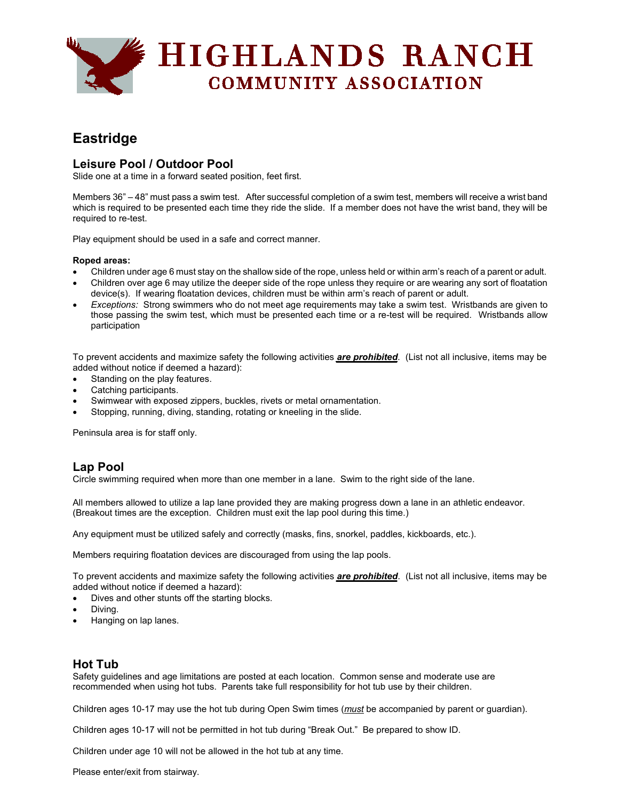

# **Eastridge**

## **Leisure Pool / Outdoor Pool**

Slide one at a time in a forward seated position, feet first.

Members 36" – 48" must pass a swim test. After successful completion of a swim test, members will receive a wrist band which is required to be presented each time they ride the slide. If a member does not have the wrist band, they will be required to re-test.

Play equipment should be used in a safe and correct manner.

#### **Roped areas:**

- Children under age 6 must stay on the shallow side of the rope, unless held or within arm's reach of a parent or adult.
- Children over age 6 may utilize the deeper side of the rope unless they require or are wearing any sort of floatation device(s). If wearing floatation devices, children must be within arm's reach of parent or adult.
- *Exceptions:* Strong swimmers who do not meet age requirements may take a swim test. Wristbands are given to those passing the swim test, which must be presented each time or a re-test will be required. Wristbands allow participation

To prevent accidents and maximize safety the following activities *are prohibited*. (List not all inclusive, items may be added without notice if deemed a hazard):

- Standing on the play features.
- Catching participants.
- Swimwear with exposed zippers, buckles, rivets or metal ornamentation.
- Stopping, running, diving, standing, rotating or kneeling in the slide.

Peninsula area is for staff only.

### **Lap Pool**

Circle swimming required when more than one member in a lane. Swim to the right side of the lane.

All members allowed to utilize a lap lane provided they are making progress down a lane in an athletic endeavor. (Breakout times are the exception. Children must exit the lap pool during this time.)

Any equipment must be utilized safely and correctly (masks, fins, snorkel, paddles, kickboards, etc.).

Members requiring floatation devices are discouraged from using the lap pools.

To prevent accidents and maximize safety the following activities *are prohibited*. (List not all inclusive, items may be added without notice if deemed a hazard):

- Dives and other stunts off the starting blocks.
- Diving.
- Hanging on lap lanes.

### **Hot Tub**

Safety guidelines and age limitations are posted at each location. Common sense and moderate use are recommended when using hot tubs. Parents take full responsibility for hot tub use by their children.

Children ages 10-17 may use the hot tub during Open Swim times (*must* be accompanied by parent or guardian).

Children ages 10-17 will not be permitted in hot tub during "Break Out." Be prepared to show ID.

Children under age 10 will not be allowed in the hot tub at any time.

Please enter/exit from stairway.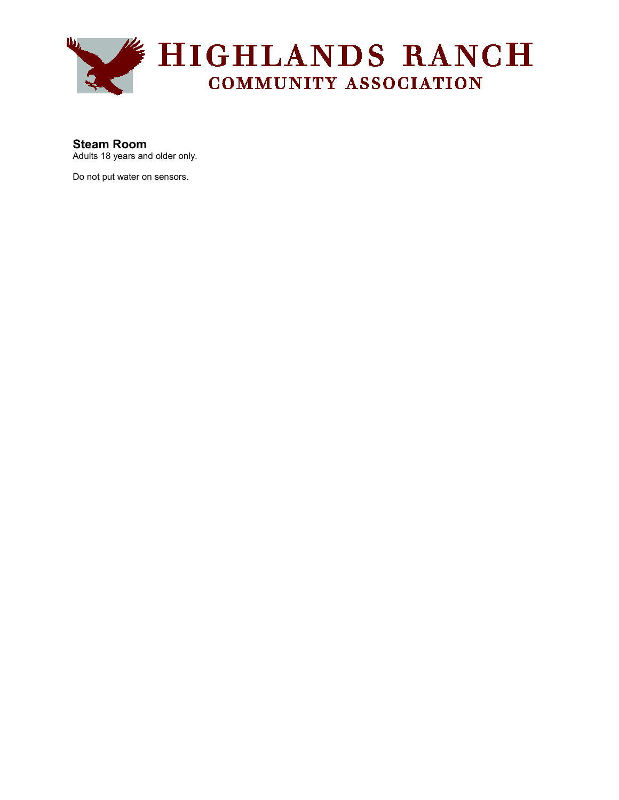

# **Steam Room**

Adults 18 years and older only.

Do not put water on sensors.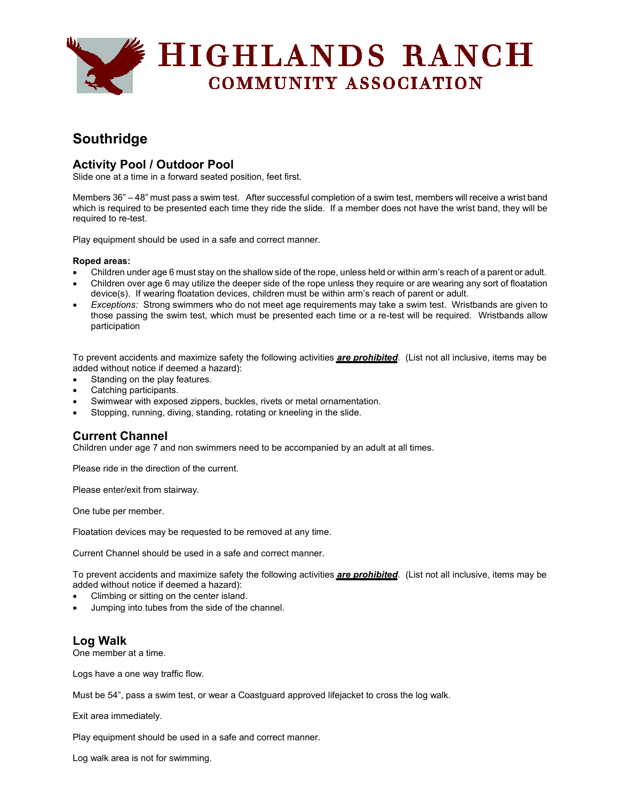

# **Southridge**

# **Activity Pool / Outdoor Pool**

Slide one at a time in a forward seated position, feet first.

Members 36" – 48" must pass a swim test. After successful completion of a swim test, members will receive a wrist band which is required to be presented each time they ride the slide. If a member does not have the wrist band, they will be required to re-test.

Play equipment should be used in a safe and correct manner.

#### **Roped areas:**

- Children under age 6 must stay on the shallow side of the rope, unless held or within arm's reach of a parent or adult.
- Children over age 6 may utilize the deeper side of the rope unless they require or are wearing any sort of floatation device(s). If wearing floatation devices, children must be within arm's reach of parent or adult.
- *Exceptions:* Strong swimmers who do not meet age requirements may take a swim test. Wristbands are given to those passing the swim test, which must be presented each time or a re-test will be required. Wristbands allow participation

To prevent accidents and maximize safety the following activities *are prohibited*. (List not all inclusive, items may be added without notice if deemed a hazard):

- Standing on the play features.
- Catching participants.
- Swimwear with exposed zippers, buckles, rivets or metal ornamentation.
- Stopping, running, diving, standing, rotating or kneeling in the slide.

### **Current Channel**

Children under age 7 and non swimmers need to be accompanied by an adult at all times.

Please ride in the direction of the current.

Please enter/exit from stairway.

One tube per member.

Floatation devices may be requested to be removed at any time.

Current Channel should be used in a safe and correct manner.

To prevent accidents and maximize safety the following activities *are prohibited*. (List not all inclusive, items may be added without notice if deemed a hazard):

- Climbing or sitting on the center island.
- Jumping into tubes from the side of the channel.

## **Log Walk**

One member at a time.

Logs have a one way traffic flow.

Must be 54", pass a swim test, or wear a Coastguard approved lifejacket to cross the log walk.

Exit area immediately.

Play equipment should be used in a safe and correct manner.

Log walk area is not for swimming.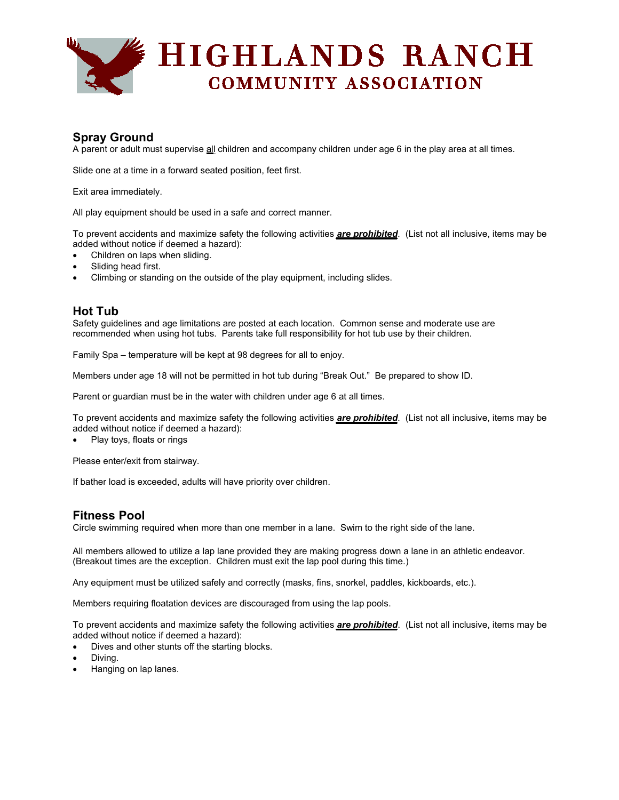

# **Spray Ground**

A parent or adult must supervise all children and accompany children under age 6 in the play area at all times.

Slide one at a time in a forward seated position, feet first.

Exit area immediately.

All play equipment should be used in a safe and correct manner.

To prevent accidents and maximize safety the following activities *are prohibited*. (List not all inclusive, items may be added without notice if deemed a hazard):

- Children on laps when sliding.
- Sliding head first.
- Climbing or standing on the outside of the play equipment, including slides.

### **Hot Tub**

Safety guidelines and age limitations are posted at each location. Common sense and moderate use are recommended when using hot tubs. Parents take full responsibility for hot tub use by their children.

Family Spa – temperature will be kept at 98 degrees for all to enjoy.

Members under age 18 will not be permitted in hot tub during "Break Out." Be prepared to show ID.

Parent or guardian must be in the water with children under age 6 at all times.

To prevent accidents and maximize safety the following activities *are prohibited*. (List not all inclusive, items may be added without notice if deemed a hazard):

• Play toys, floats or rings

Please enter/exit from stairway.

If bather load is exceeded, adults will have priority over children.

## **Fitness Pool**

Circle swimming required when more than one member in a lane. Swim to the right side of the lane.

All members allowed to utilize a lap lane provided they are making progress down a lane in an athletic endeavor. (Breakout times are the exception. Children must exit the lap pool during this time.)

Any equipment must be utilized safely and correctly (masks, fins, snorkel, paddles, kickboards, etc.).

Members requiring floatation devices are discouraged from using the lap pools.

To prevent accidents and maximize safety the following activities *are prohibited*. (List not all inclusive, items may be added without notice if deemed a hazard):

- Dives and other stunts off the starting blocks.
- Diving.
- Hanging on lap lanes.